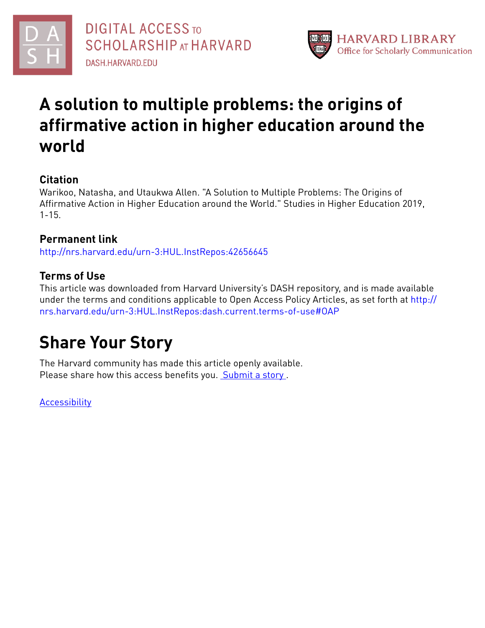



# **A solution to multiple problems: the origins of affirmative action in higher education around the world**

# **Citation**

Warikoo, Natasha, and Utaukwa Allen. "A Solution to Multiple Problems: The Origins of Affirmative Action in Higher Education around the World." Studies in Higher Education 2019, 1-15.

# **Permanent link**

<http://nrs.harvard.edu/urn-3:HUL.InstRepos:42656645>

# **Terms of Use**

This article was downloaded from Harvard University's DASH repository, and is made available under the terms and conditions applicable to Open Access Policy Articles, as set forth at [http://](http://nrs.harvard.edu/urn-3:HUL.InstRepos:dash.current.terms-of-use#OAP) [nrs.harvard.edu/urn-3:HUL.InstRepos:dash.current.terms-of-use#OAP](http://nrs.harvard.edu/urn-3:HUL.InstRepos:dash.current.terms-of-use#OAP)

# **Share Your Story**

The Harvard community has made this article openly available. Please share how this access benefits you. [Submit](http://osc.hul.harvard.edu/dash/open-access-feedback?handle=&title=A%20solution%20to%20multiple%20problems:%20the%20origins%20of%20affirmative%20action%20in%20higher%20education%20around%20the%20world&community=1/3345927&collection=1/3345928&owningCollection1/3345928&harvardAuthors=1aab445fbe3ec8164f5a67d34f76c71f&departmentOther%20Research%20Unit) a story.

**[Accessibility](https://dash.harvard.edu/pages/accessibility)**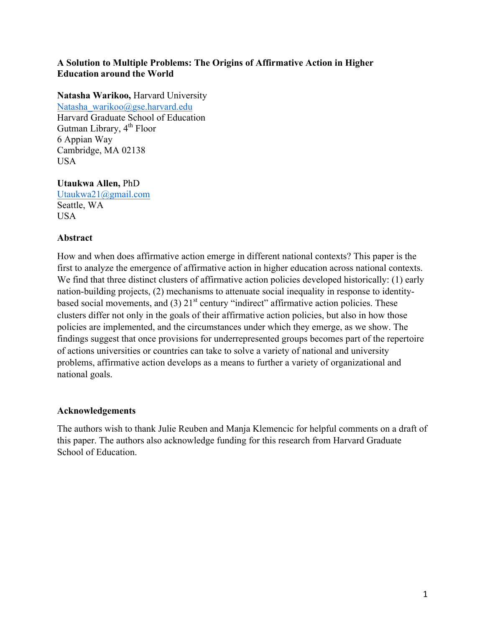### **A Solution to Multiple Problems: The Origins of Affirmative Action in Higher Education around the World**

## **Natasha Warikoo,** Harvard University

Natasha\_warikoo@gse.harvard.edu Harvard Graduate School of Education Gutman Library,  $4^{th}$  Floor 6 Appian Way Cambridge, MA 02138 USA

## **Utaukwa Allen,** PhD

Utaukwa21@gmail.com Seattle, WA USA

## **Abstract**

How and when does affirmative action emerge in different national contexts? This paper is the first to analyze the emergence of affirmative action in higher education across national contexts. We find that three distinct clusters of affirmative action policies developed historically: (1) early nation-building projects, (2) mechanisms to attenuate social inequality in response to identitybased social movements, and  $(3)$   $21<sup>st</sup>$  century "indirect" affirmative action policies. These clusters differ not only in the goals of their affirmative action policies, but also in how those policies are implemented, and the circumstances under which they emerge, as we show. The findings suggest that once provisions for underrepresented groups becomes part of the repertoire of actions universities or countries can take to solve a variety of national and university problems, affirmative action develops as a means to further a variety of organizational and national goals.

### **Acknowledgements**

The authors wish to thank Julie Reuben and Manja Klemencic for helpful comments on a draft of this paper. The authors also acknowledge funding for this research from Harvard Graduate School of Education.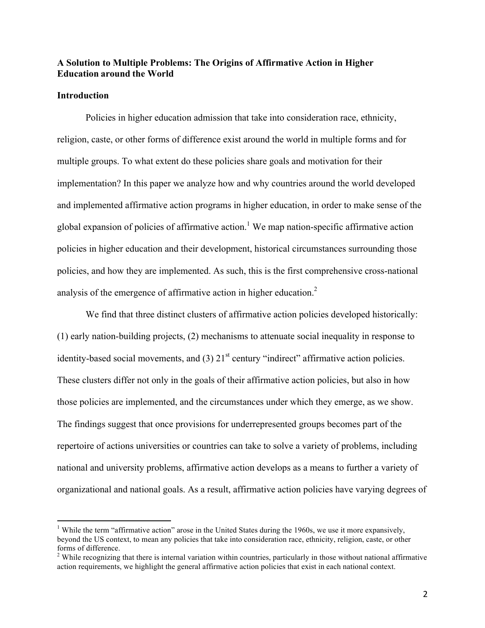#### **A Solution to Multiple Problems: The Origins of Affirmative Action in Higher Education around the World**

#### **Introduction**

Policies in higher education admission that take into consideration race, ethnicity, religion, caste, or other forms of difference exist around the world in multiple forms and for multiple groups. To what extent do these policies share goals and motivation for their implementation? In this paper we analyze how and why countries around the world developed and implemented affirmative action programs in higher education, in order to make sense of the global expansion of policies of affirmative action.<sup>1</sup> We map nation-specific affirmative action policies in higher education and their development, historical circumstances surrounding those policies, and how they are implemented. As such, this is the first comprehensive cross-national analysis of the emergence of affirmative action in higher education.<sup>2</sup>

We find that three distinct clusters of affirmative action policies developed historically: (1) early nation-building projects, (2) mechanisms to attenuate social inequality in response to identity-based social movements, and  $(3)$   $21<sup>st</sup>$  century "indirect" affirmative action policies. These clusters differ not only in the goals of their affirmative action policies, but also in how those policies are implemented, and the circumstances under which they emerge, as we show. The findings suggest that once provisions for underrepresented groups becomes part of the repertoire of actions universities or countries can take to solve a variety of problems, including national and university problems, affirmative action develops as a means to further a variety of organizational and national goals. As a result, affirmative action policies have varying degrees of

<sup>&</sup>lt;sup>1</sup> While the term "affirmative action" arose in the United States during the 1960s, we use it more expansively, beyond the US context, to mean any policies that take into consideration race, ethnicity, religion, caste, or other forms of difference.

<sup>&</sup>lt;sup>2</sup> While recognizing that there is internal variation within countries, particularly in those without national affirmative action requirements, we highlight the general affirmative action policies that exist in each national context.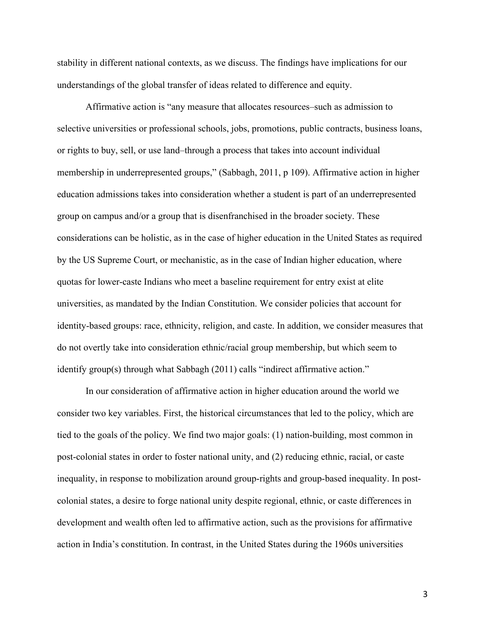stability in different national contexts, as we discuss. The findings have implications for our understandings of the global transfer of ideas related to difference and equity.

Affirmative action is "any measure that allocates resources–such as admission to selective universities or professional schools, jobs, promotions, public contracts, business loans, or rights to buy, sell, or use land–through a process that takes into account individual membership in underrepresented groups," (Sabbagh, 2011, p 109). Affirmative action in higher education admissions takes into consideration whether a student is part of an underrepresented group on campus and/or a group that is disenfranchised in the broader society. These considerations can be holistic, as in the case of higher education in the United States as required by the US Supreme Court, or mechanistic, as in the case of Indian higher education, where quotas for lower-caste Indians who meet a baseline requirement for entry exist at elite universities, as mandated by the Indian Constitution. We consider policies that account for identity-based groups: race, ethnicity, religion, and caste. In addition, we consider measures that do not overtly take into consideration ethnic/racial group membership, but which seem to identify group(s) through what Sabbagh (2011) calls "indirect affirmative action."

In our consideration of affirmative action in higher education around the world we consider two key variables. First, the historical circumstances that led to the policy, which are tied to the goals of the policy. We find two major goals: (1) nation-building, most common in post-colonial states in order to foster national unity, and (2) reducing ethnic, racial, or caste inequality, in response to mobilization around group-rights and group-based inequality. In postcolonial states, a desire to forge national unity despite regional, ethnic, or caste differences in development and wealth often led to affirmative action, such as the provisions for affirmative action in India's constitution. In contrast, in the United States during the 1960s universities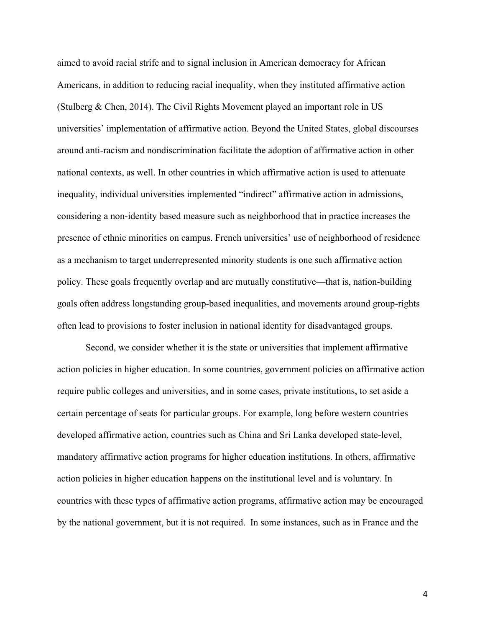aimed to avoid racial strife and to signal inclusion in American democracy for African Americans, in addition to reducing racial inequality, when they instituted affirmative action (Stulberg & Chen, 2014). The Civil Rights Movement played an important role in US universities' implementation of affirmative action. Beyond the United States, global discourses around anti-racism and nondiscrimination facilitate the adoption of affirmative action in other national contexts, as well. In other countries in which affirmative action is used to attenuate inequality, individual universities implemented "indirect" affirmative action in admissions, considering a non-identity based measure such as neighborhood that in practice increases the presence of ethnic minorities on campus. French universities' use of neighborhood of residence as a mechanism to target underrepresented minority students is one such affirmative action policy. These goals frequently overlap and are mutually constitutive—that is, nation-building goals often address longstanding group-based inequalities, and movements around group-rights often lead to provisions to foster inclusion in national identity for disadvantaged groups.

Second, we consider whether it is the state or universities that implement affirmative action policies in higher education. In some countries, government policies on affirmative action require public colleges and universities, and in some cases, private institutions, to set aside a certain percentage of seats for particular groups. For example, long before western countries developed affirmative action, countries such as China and Sri Lanka developed state-level, mandatory affirmative action programs for higher education institutions. In others, affirmative action policies in higher education happens on the institutional level and is voluntary. In countries with these types of affirmative action programs, affirmative action may be encouraged by the national government, but it is not required. In some instances, such as in France and the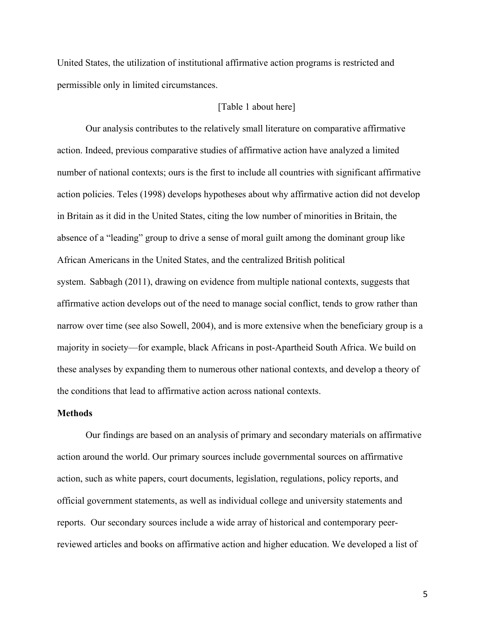United States, the utilization of institutional affirmative action programs is restricted and permissible only in limited circumstances.

#### [Table 1 about here]

Our analysis contributes to the relatively small literature on comparative affirmative action. Indeed, previous comparative studies of affirmative action have analyzed a limited number of national contexts; ours is the first to include all countries with significant affirmative action policies. Teles (1998) develops hypotheses about why affirmative action did not develop in Britain as it did in the United States, citing the low number of minorities in Britain, the absence of a "leading" group to drive a sense of moral guilt among the dominant group like African Americans in the United States, and the centralized British political system. Sabbagh (2011), drawing on evidence from multiple national contexts, suggests that affirmative action develops out of the need to manage social conflict, tends to grow rather than narrow over time (see also Sowell, 2004), and is more extensive when the beneficiary group is a majority in society—for example, black Africans in post-Apartheid South Africa. We build on these analyses by expanding them to numerous other national contexts, and develop a theory of the conditions that lead to affirmative action across national contexts.

#### **Methods**

Our findings are based on an analysis of primary and secondary materials on affirmative action around the world. Our primary sources include governmental sources on affirmative action, such as white papers, court documents, legislation, regulations, policy reports, and official government statements, as well as individual college and university statements and reports. Our secondary sources include a wide array of historical and contemporary peerreviewed articles and books on affirmative action and higher education. We developed a list of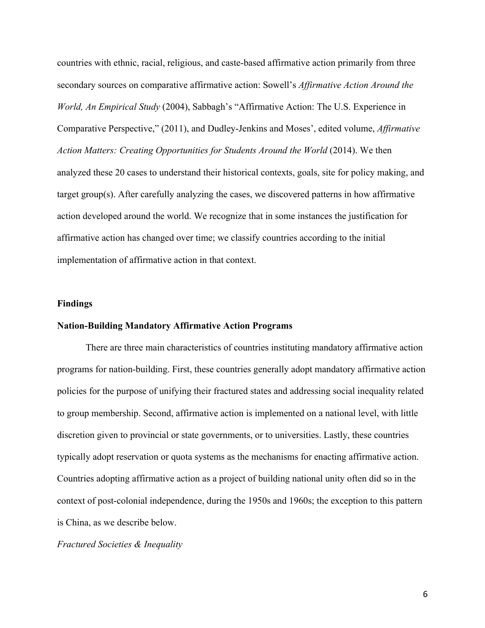countries with ethnic, racial, religious, and caste-based affirmative action primarily from three secondary sources on comparative affirmative action: Sowell's *Affirmative Action Around the World, An Empirical Study* (2004), Sabbagh's "Affirmative Action: The U.S. Experience in Comparative Perspective," (2011), and Dudley-Jenkins and Moses', edited volume, *Affirmative Action Matters: Creating Opportunities for Students Around the World (2014).* We then analyzed these 20 cases to understand their historical contexts, goals, site for policy making, and target group(s). After carefully analyzing the cases, we discovered patterns in how affirmative action developed around the world. We recognize that in some instances the justification for affirmative action has changed over time; we classify countries according to the initial implementation of affirmative action in that context.

#### **Findings**

#### **Nation-Building Mandatory Affirmative Action Programs**

There are three main characteristics of countries instituting mandatory affirmative action programs for nation-building. First, these countries generally adopt mandatory affirmative action policies for the purpose of unifying their fractured states and addressing social inequality related to group membership. Second, affirmative action is implemented on a national level, with little discretion given to provincial or state governments, or to universities. Lastly, these countries typically adopt reservation or quota systems as the mechanisms for enacting affirmative action. Countries adopting affirmative action as a project of building national unity often did so in the context of post-colonial independence, during the 1950s and 1960s; the exception to this pattern is China, as we describe below.

#### *Fractured Societies & Inequality*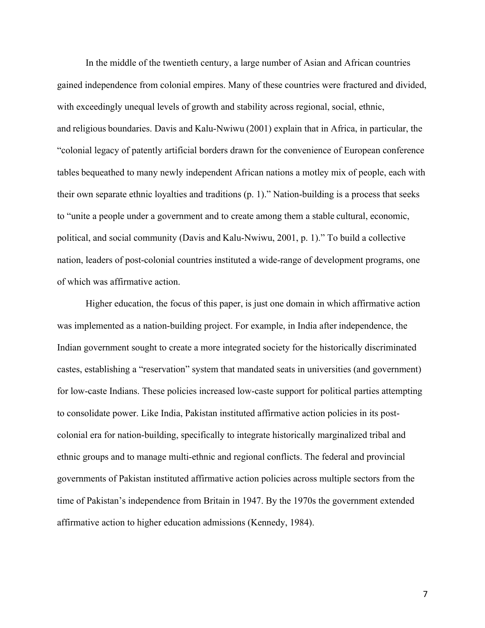In the middle of the twentieth century, a large number of Asian and African countries gained independence from colonial empires. Many of these countries were fractured and divided, with exceedingly unequal levels of growth and stability across regional, social, ethnic, and religious boundaries. Davis and Kalu-Nwiwu (2001) explain that in Africa, in particular, the "colonial legacy of patently artificial borders drawn for the convenience of European conference tables bequeathed to many newly independent African nations a motley mix of people, each with their own separate ethnic loyalties and traditions (p. 1)." Nation-building is a process that seeks to "unite a people under a government and to create among them a stable cultural, economic, political, and social community (Davis and Kalu-Nwiwu, 2001, p. 1)." To build a collective nation, leaders of post-colonial countries instituted a wide-range of development programs, one of which was affirmative action.

Higher education, the focus of this paper, is just one domain in which affirmative action was implemented as a nation-building project. For example, in India after independence, the Indian government sought to create a more integrated society for the historically discriminated castes, establishing a "reservation" system that mandated seats in universities (and government) for low-caste Indians. These policies increased low-caste support for political parties attempting to consolidate power. Like India, Pakistan instituted affirmative action policies in its postcolonial era for nation-building, specifically to integrate historically marginalized tribal and ethnic groups and to manage multi-ethnic and regional conflicts. The federal and provincial governments of Pakistan instituted affirmative action policies across multiple sectors from the time of Pakistan's independence from Britain in 1947. By the 1970s the government extended affirmative action to higher education admissions (Kennedy, 1984).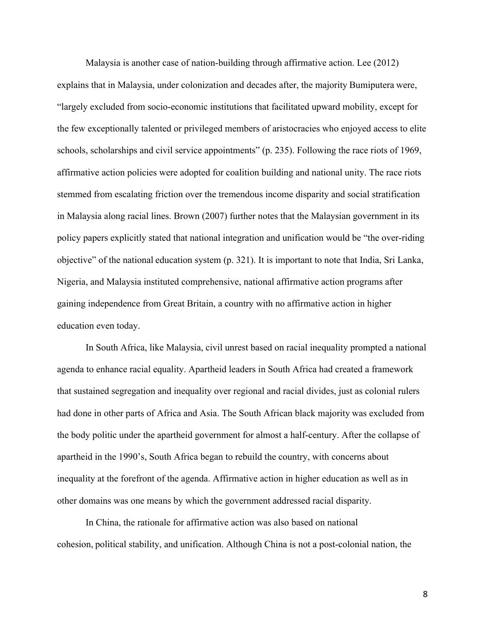Malaysia is another case of nation-building through affirmative action. Lee (2012) explains that in Malaysia, under colonization and decades after, the majority Bumiputera were, "largely excluded from socio-economic institutions that facilitated upward mobility, except for the few exceptionally talented or privileged members of aristocracies who enjoyed access to elite schools, scholarships and civil service appointments" (p. 235). Following the race riots of 1969, affirmative action policies were adopted for coalition building and national unity. The race riots stemmed from escalating friction over the tremendous income disparity and social stratification in Malaysia along racial lines. Brown (2007) further notes that the Malaysian government in its policy papers explicitly stated that national integration and unification would be "the over-riding objective" of the national education system (p. 321). It is important to note that India, Sri Lanka, Nigeria, and Malaysia instituted comprehensive, national affirmative action programs after gaining independence from Great Britain, a country with no affirmative action in higher education even today.

In South Africa, like Malaysia, civil unrest based on racial inequality prompted a national agenda to enhance racial equality. Apartheid leaders in South Africa had created a framework that sustained segregation and inequality over regional and racial divides, just as colonial rulers had done in other parts of Africa and Asia. The South African black majority was excluded from the body politic under the apartheid government for almost a half-century. After the collapse of apartheid in the 1990's, South Africa began to rebuild the country, with concerns about inequality at the forefront of the agenda. Affirmative action in higher education as well as in other domains was one means by which the government addressed racial disparity.

In China, the rationale for affirmative action was also based on national cohesion, political stability, and unification. Although China is not a post-colonial nation, the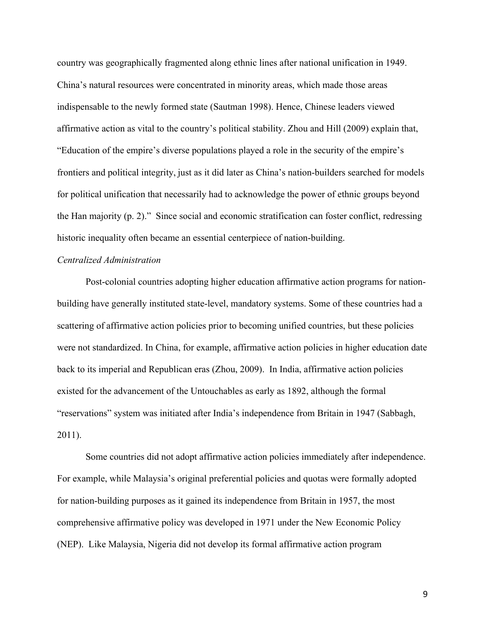country was geographically fragmented along ethnic lines after national unification in 1949. China's natural resources were concentrated in minority areas, which made those areas indispensable to the newly formed state (Sautman 1998). Hence, Chinese leaders viewed affirmative action as vital to the country's political stability. Zhou and Hill (2009) explain that, "Education of the empire's diverse populations played a role in the security of the empire's frontiers and political integrity, just as it did later as China's nation-builders searched for models for political unification that necessarily had to acknowledge the power of ethnic groups beyond the Han majority (p. 2)." Since social and economic stratification can foster conflict, redressing historic inequality often became an essential centerpiece of nation-building.

#### *Centralized Administration*

Post-colonial countries adopting higher education affirmative action programs for nationbuilding have generally instituted state-level, mandatory systems. Some of these countries had a scattering of affirmative action policies prior to becoming unified countries, but these policies were not standardized. In China, for example, affirmative action policies in higher education date back to its imperial and Republican eras (Zhou, 2009). In India, affirmative action policies existed for the advancement of the Untouchables as early as 1892, although the formal "reservations" system was initiated after India's independence from Britain in 1947 (Sabbagh, 2011).

Some countries did not adopt affirmative action policies immediately after independence. For example, while Malaysia's original preferential policies and quotas were formally adopted for nation-building purposes as it gained its independence from Britain in 1957, the most comprehensive affirmative policy was developed in 1971 under the New Economic Policy (NEP). Like Malaysia, Nigeria did not develop its formal affirmative action program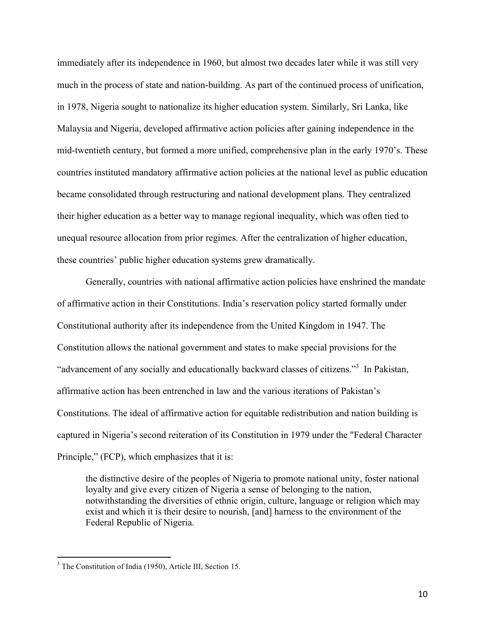immediately after its independence in 1960, but almost two decades later while it was still very much in the process of state and nation-building. As part of the continued process of unification, in 1978, Nigeria sought to nationalize its higher education system. Similarly, Sri Lanka, like Malaysia and Nigeria, developed affirmative action policies after gaining independence in the mid-twentieth century, but formed a more unified, comprehensive plan in the early 1970's. These countries instituted mandatory affirmative action policies at the national level as public education became consolidated through restructuring and national development plans. They centralized their higher education as a better way to manage regional inequality, which was often tied to unequal resource allocation from prior regimes. After the centralization of higher education, these countries' public higher education systems grew dramatically.

Generally, countries with national affirmative action policies have enshrined the mandate of affirmative action in their Constitutions. India's reservation policy started formally under Constitutional authority after its independence from the United Kingdom in 1947. The Constitution allows the national government and states to make special provisions for the "advancement of any socially and educationally backward classes of citizens."<sup>3</sup> In Pakistan, affirmative action has been entrenched in law and the various iterations of Pakistan's Constitutions. The ideal of affirmative action for equitable redistribution and nation building is captured in Nigeria's second reiteration of its Constitution in 1979 under the "Federal Character Principle," (FCP), which emphasizes that it is:

the distinctive desire of the peoples of Nigeria to promote national unity, foster national loyalty and give every citizen of Nigeria a sense of belonging to the nation, notwithstanding the diversities of ethnic origin, culture, language or religion which may exist and which it is their desire to nourish, [and] harness to the environment of the Federal Republic of Nigeria.

 <sup>3</sup> The Constitution of India (1950), Article III, Section 15.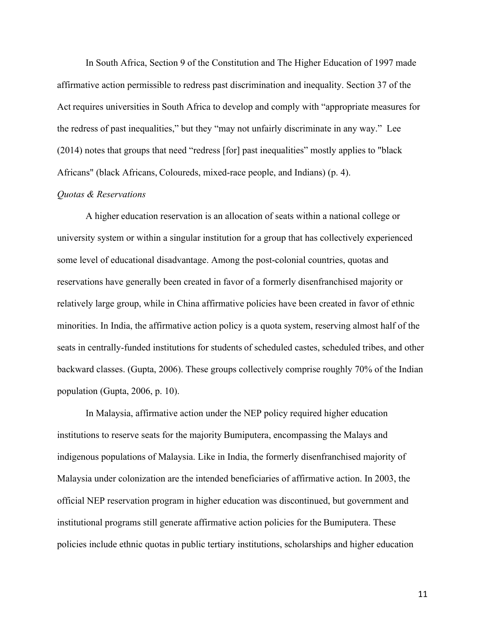In South Africa, Section 9 of the Constitution and The Higher Education of 1997 made affirmative action permissible to redress past discrimination and inequality. Section 37 of the Act requires universities in South Africa to develop and comply with "appropriate measures for the redress of past inequalities," but they "may not unfairly discriminate in any way." Lee (2014) notes that groups that need "redress [for] past inequalities" mostly applies to "black Africans" (black Africans, Coloureds, mixed-race people, and Indians) (p. 4).

#### *Quotas & Reservations*

A higher education reservation is an allocation of seats within a national college or university system or within a singular institution for a group that has collectively experienced some level of educational disadvantage. Among the post-colonial countries, quotas and reservations have generally been created in favor of a formerly disenfranchised majority or relatively large group, while in China affirmative policies have been created in favor of ethnic minorities. In India, the affirmative action policy is a quota system, reserving almost half of the seats in centrally-funded institutions for students of scheduled castes, scheduled tribes, and other backward classes. (Gupta, 2006). These groups collectively comprise roughly 70% of the Indian population (Gupta, 2006, p. 10).

In Malaysia, affirmative action under the NEP policy required higher education institutions to reserve seats for the majority Bumiputera, encompassing the Malays and indigenous populations of Malaysia. Like in India, the formerly disenfranchised majority of Malaysia under colonization are the intended beneficiaries of affirmative action. In 2003, the official NEP reservation program in higher education was discontinued, but government and institutional programs still generate affirmative action policies for the Bumiputera. These policies include ethnic quotas in public tertiary institutions, scholarships and higher education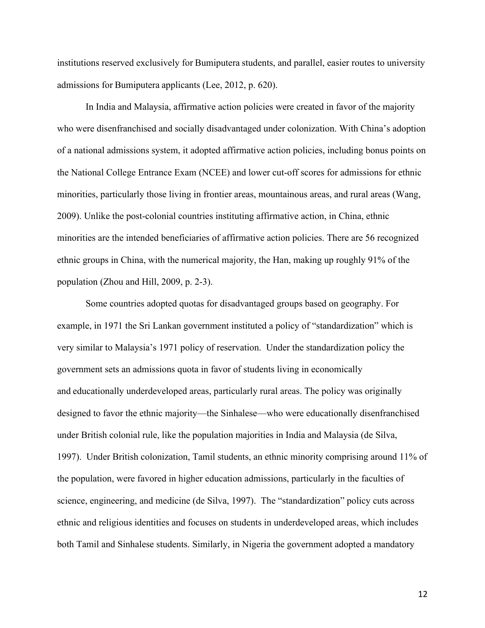institutions reserved exclusively for Bumiputera students, and parallel, easier routes to university admissions for Bumiputera applicants (Lee, 2012, p. 620).

In India and Malaysia, affirmative action policies were created in favor of the majority who were disenfranchised and socially disadvantaged under colonization. With China's adoption of a national admissions system, it adopted affirmative action policies, including bonus points on the National College Entrance Exam (NCEE) and lower cut-off scores for admissions for ethnic minorities, particularly those living in frontier areas, mountainous areas, and rural areas (Wang, 2009). Unlike the post-colonial countries instituting affirmative action, in China, ethnic minorities are the intended beneficiaries of affirmative action policies. There are 56 recognized ethnic groups in China, with the numerical majority, the Han, making up roughly 91% of the population (Zhou and Hill, 2009, p. 2-3).

Some countries adopted quotas for disadvantaged groups based on geography. For example, in 1971 the Sri Lankan government instituted a policy of "standardization" which is very similar to Malaysia's 1971 policy of reservation. Under the standardization policy the government sets an admissions quota in favor of students living in economically and educationally underdeveloped areas, particularly rural areas. The policy was originally designed to favor the ethnic majority—the Sinhalese—who were educationally disenfranchised under British colonial rule, like the population majorities in India and Malaysia (de Silva, 1997). Under British colonization, Tamil students, an ethnic minority comprising around 11% of the population, were favored in higher education admissions, particularly in the faculties of science, engineering, and medicine (de Silva, 1997). The "standardization" policy cuts across ethnic and religious identities and focuses on students in underdeveloped areas, which includes both Tamil and Sinhalese students. Similarly, in Nigeria the government adopted a mandatory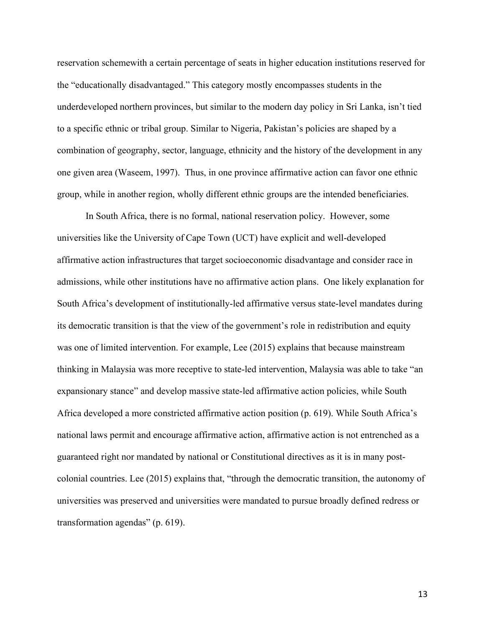reservation schemewith a certain percentage of seats in higher education institutions reserved for the "educationally disadvantaged." This category mostly encompasses students in the underdeveloped northern provinces, but similar to the modern day policy in Sri Lanka, isn't tied to a specific ethnic or tribal group. Similar to Nigeria, Pakistan's policies are shaped by a combination of geography, sector, language, ethnicity and the history of the development in any one given area (Waseem, 1997). Thus, in one province affirmative action can favor one ethnic group, while in another region, wholly different ethnic groups are the intended beneficiaries.

In South Africa, there is no formal, national reservation policy. However, some universities like the University of Cape Town (UCT) have explicit and well-developed affirmative action infrastructures that target socioeconomic disadvantage and consider race in admissions, while other institutions have no affirmative action plans. One likely explanation for South Africa's development of institutionally-led affirmative versus state-level mandates during its democratic transition is that the view of the government's role in redistribution and equity was one of limited intervention. For example, Lee (2015) explains that because mainstream thinking in Malaysia was more receptive to state-led intervention, Malaysia was able to take "an expansionary stance" and develop massive state-led affirmative action policies, while South Africa developed a more constricted affirmative action position (p. 619). While South Africa's national laws permit and encourage affirmative action, affirmative action is not entrenched as a guaranteed right nor mandated by national or Constitutional directives as it is in many postcolonial countries. Lee (2015) explains that, "through the democratic transition, the autonomy of universities was preserved and universities were mandated to pursue broadly defined redress or transformation agendas" (p. 619).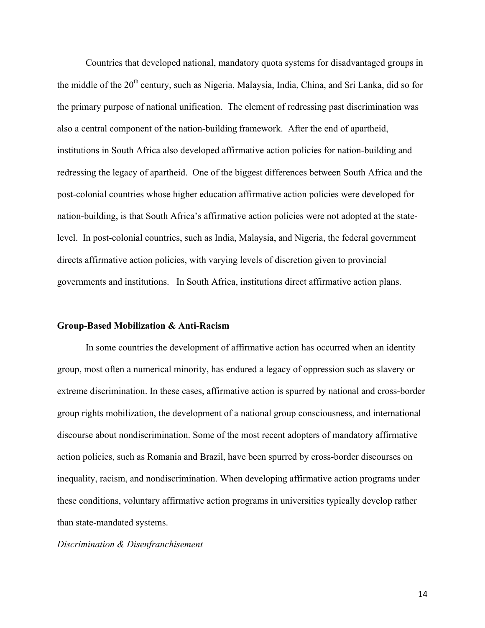Countries that developed national, mandatory quota systems for disadvantaged groups in the middle of the 20<sup>th</sup> century, such as Nigeria, Malaysia, India, China, and Sri Lanka, did so for the primary purpose of national unification. The element of redressing past discrimination was also a central component of the nation-building framework. After the end of apartheid, institutions in South Africa also developed affirmative action policies for nation-building and redressing the legacy of apartheid. One of the biggest differences between South Africa and the post-colonial countries whose higher education affirmative action policies were developed for nation-building, is that South Africa's affirmative action policies were not adopted at the statelevel. In post-colonial countries, such as India, Malaysia, and Nigeria, the federal government directs affirmative action policies, with varying levels of discretion given to provincial governments and institutions. In South Africa, institutions direct affirmative action plans.

#### **Group-Based Mobilization & Anti-Racism**

In some countries the development of affirmative action has occurred when an identity group, most often a numerical minority, has endured a legacy of oppression such as slavery or extreme discrimination. In these cases, affirmative action is spurred by national and cross-border group rights mobilization, the development of a national group consciousness, and international discourse about nondiscrimination. Some of the most recent adopters of mandatory affirmative action policies, such as Romania and Brazil, have been spurred by cross-border discourses on inequality, racism, and nondiscrimination. When developing affirmative action programs under these conditions, voluntary affirmative action programs in universities typically develop rather than state-mandated systems.

#### *Discrimination & Disenfranchisement*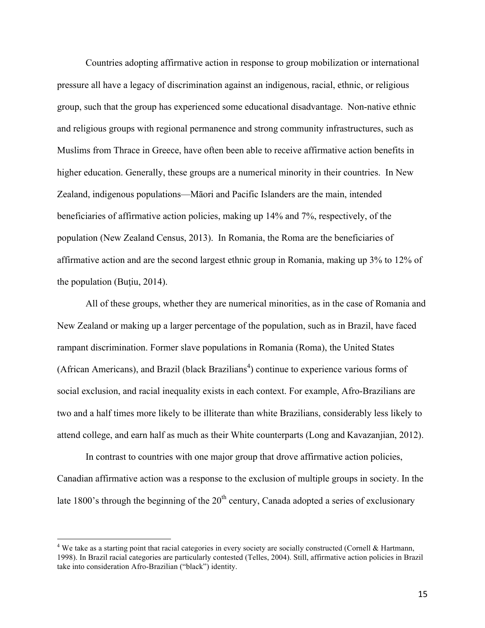Countries adopting affirmative action in response to group mobilization or international pressure all have a legacy of discrimination against an indigenous, racial, ethnic, or religious group, such that the group has experienced some educational disadvantage. Non-native ethnic and religious groups with regional permanence and strong community infrastructures, such as Muslims from Thrace in Greece, have often been able to receive affirmative action benefits in higher education. Generally, these groups are a numerical minority in their countries. In New Zealand, indigenous populations—Māori and Pacific Islanders are the main, intended beneficiaries of affirmative action policies, making up 14% and 7%, respectively, of the population (New Zealand Census, 2013). In Romania, the Roma are the beneficiaries of affirmative action and are the second largest ethnic group in Romania, making up 3% to 12% of the population (Buțiu, 2014).

All of these groups, whether they are numerical minorities, as in the case of Romania and New Zealand or making up a larger percentage of the population, such as in Brazil, have faced rampant discrimination. Former slave populations in Romania (Roma), the United States (African Americans), and Brazil (black Brazilians<sup>4</sup>) continue to experience various forms of social exclusion, and racial inequality exists in each context. For example, Afro-Brazilians are two and a half times more likely to be illiterate than white Brazilians, considerably less likely to attend college, and earn half as much as their White counterparts (Long and Kavazanjian, 2012).

In contrast to countries with one major group that drove affirmative action policies, Canadian affirmative action was a response to the exclusion of multiple groups in society. In the late 1800's through the beginning of the  $20<sup>th</sup>$  century, Canada adopted a series of exclusionary

<sup>&</sup>lt;sup>4</sup> We take as a starting point that racial categories in every society are socially constructed (Cornell & Hartmann, 1998). In Brazil racial categories are particularly contested (Telles, 2004). Still, affirmative action policies in Brazil take into consideration Afro-Brazilian ("black") identity.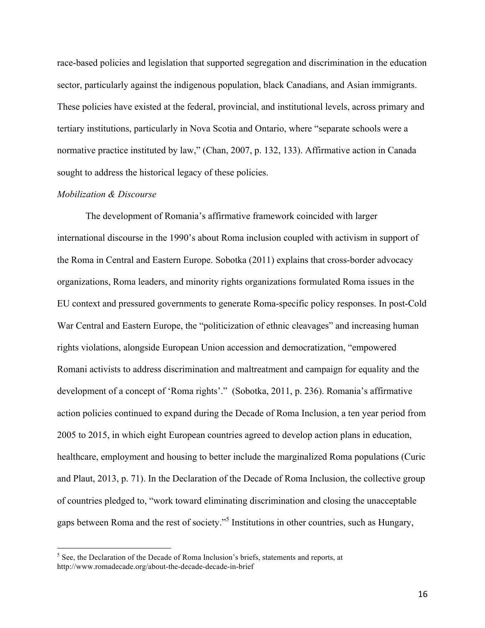race-based policies and legislation that supported segregation and discrimination in the education sector, particularly against the indigenous population, black Canadians, and Asian immigrants. These policies have existed at the federal, provincial, and institutional levels, across primary and tertiary institutions, particularly in Nova Scotia and Ontario, where "separate schools were a normative practice instituted by law," (Chan, 2007, p. 132, 133). Affirmative action in Canada sought to address the historical legacy of these policies.

#### *Mobilization & Discourse*

The development of Romania's affirmative framework coincided with larger international discourse in the 1990's about Roma inclusion coupled with activism in support of the Roma in Central and Eastern Europe. Sobotka (2011) explains that cross-border advocacy organizations, Roma leaders, and minority rights organizations formulated Roma issues in the EU context and pressured governments to generate Roma-specific policy responses. In post-Cold War Central and Eastern Europe, the "politicization of ethnic cleavages" and increasing human rights violations, alongside European Union accession and democratization, "empowered Romani activists to address discrimination and maltreatment and campaign for equality and the development of a concept of 'Roma rights'." (Sobotka, 2011, p. 236). Romania's affirmative action policies continued to expand during the Decade of Roma Inclusion, a ten year period from 2005 to 2015, in which eight European countries agreed to develop action plans in education, healthcare, employment and housing to better include the marginalized Roma populations (Curic and Plaut, 2013, p. 71). In the Declaration of the Decade of Roma Inclusion, the collective group of countries pledged to, "work toward eliminating discrimination and closing the unacceptable gaps between Roma and the rest of society."<sup>5</sup> Institutions in other countries, such as Hungary,

 $5$  See, the Declaration of the Decade of Roma Inclusion's briefs, statements and reports, at http://www.romadecade.org/about-the-decade-decade-in-brief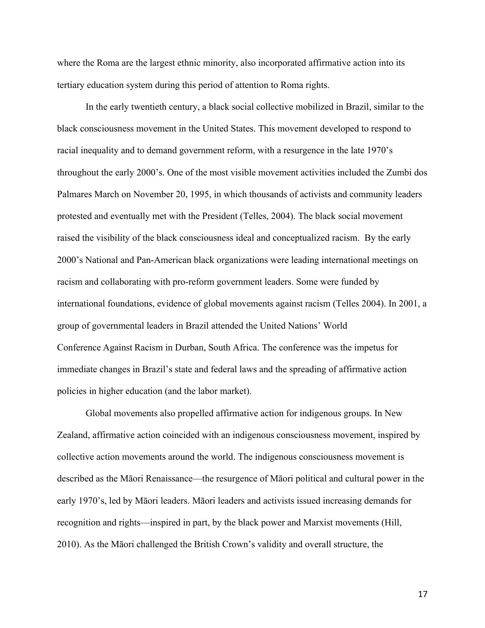where the Roma are the largest ethnic minority, also incorporated affirmative action into its tertiary education system during this period of attention to Roma rights.

In the early twentieth century, a black social collective mobilized in Brazil, similar to the black consciousness movement in the United States. This movement developed to respond to racial inequality and to demand government reform, with a resurgence in the late 1970's throughout the early 2000's. One of the most visible movement activities included the Zumbi dos Palmares March on November 20, 1995, in which thousands of activists and community leaders protested and eventually met with the President (Telles, 2004). The black social movement raised the visibility of the black consciousness ideal and conceptualized racism. By the early 2000's National and Pan-American black organizations were leading international meetings on racism and collaborating with pro-reform government leaders. Some were funded by international foundations, evidence of global movements against racism (Telles 2004). In 2001, a group of governmental leaders in Brazil attended the United Nations' World Conference Against Racism in Durban, South Africa. The conference was the impetus for immediate changes in Brazil's state and federal laws and the spreading of affirmative action policies in higher education (and the labor market).

Global movements also propelled affirmative action for indigenous groups. In New Zealand, affirmative action coincided with an indigenous consciousness movement, inspired by collective action movements around the world. The indigenous consciousness movement is described as the Māori Renaissance—the resurgence of Māori political and cultural power in the early 1970's, led by Māori leaders. Māori leaders and activists issued increasing demands for recognition and rights—inspired in part, by the black power and Marxist movements (Hill, 2010). As the Māori challenged the British Crown's validity and overall structure, the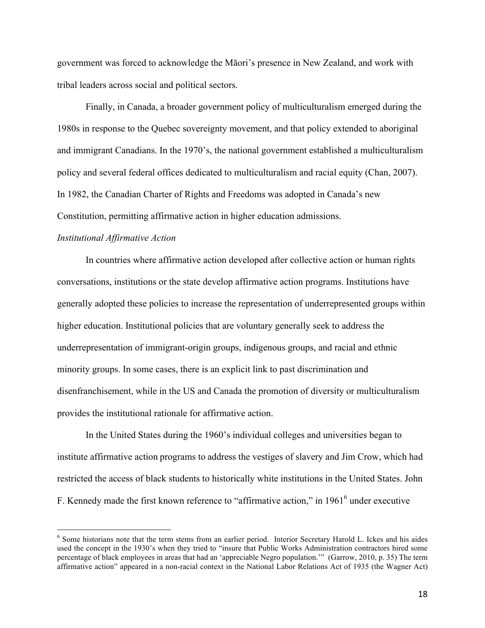government was forced to acknowledge the Māori's presence in New Zealand, and work with tribal leaders across social and political sectors.

Finally, in Canada, a broader government policy of multiculturalism emerged during the 1980s in response to the Quebec sovereignty movement, and that policy extended to aboriginal and immigrant Canadians. In the 1970's, the national government established a multiculturalism policy and several federal offices dedicated to multiculturalism and racial equity (Chan, 2007). In 1982, the Canadian Charter of Rights and Freedoms was adopted in Canada's new Constitution, permitting affirmative action in higher education admissions.

#### *Institutional Affirmative Action*

In countries where affirmative action developed after collective action or human rights conversations, institutions or the state develop affirmative action programs. Institutions have generally adopted these policies to increase the representation of underrepresented groups within higher education. Institutional policies that are voluntary generally seek to address the underrepresentation of immigrant-origin groups, indigenous groups, and racial and ethnic minority groups. In some cases, there is an explicit link to past discrimination and disenfranchisement, while in the US and Canada the promotion of diversity or multiculturalism provides the institutional rationale for affirmative action.

In the United States during the 1960's individual colleges and universities began to institute affirmative action programs to address the vestiges of slavery and Jim Crow, which had restricted the access of black students to historically white institutions in the United States. John F. Kennedy made the first known reference to "affirmative action," in 19616 under executive

 <sup>6</sup> Some historians note that the term stems from an earlier period. Interior Secretary Harold L. Ickes and his aides used the concept in the 1930's when they tried to "insure that Public Works Administration contractors hired some percentage of black employees in areas that had an 'appreciable Negro population.'" (Garrow, 2010, p. 35) The term affirmative action" appeared in a non-racial context in the National Labor Relations Act of 1935 (the Wagner Act)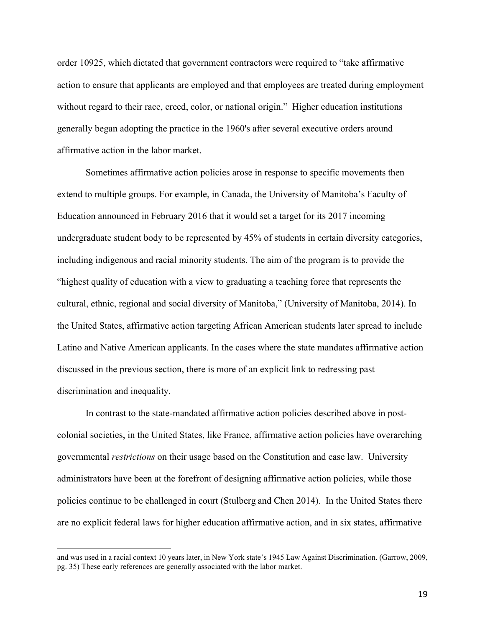order 10925, which dictated that government contractors were required to "take affirmative action to ensure that applicants are employed and that employees are treated during employment without regard to their race, creed, color, or national origin." Higher education institutions generally began adopting the practice in the 1960's after several executive orders around affirmative action in the labor market.

Sometimes affirmative action policies arose in response to specific movements then extend to multiple groups. For example, in Canada, the University of Manitoba's Faculty of Education announced in February 2016 that it would set a target for its 2017 incoming undergraduate student body to be represented by 45% of students in certain diversity categories, including indigenous and racial minority students. The aim of the program is to provide the "highest quality of education with a view to graduating a teaching force that represents the cultural, ethnic, regional and social diversity of Manitoba," (University of Manitoba, 2014). In the United States, affirmative action targeting African American students later spread to include Latino and Native American applicants. In the cases where the state mandates affirmative action discussed in the previous section, there is more of an explicit link to redressing past discrimination and inequality.

In contrast to the state-mandated affirmative action policies described above in postcolonial societies, in the United States, like France, affirmative action policies have overarching governmental *restrictions* on their usage based on the Constitution and case law. University administrators have been at the forefront of designing affirmative action policies, while those policies continue to be challenged in court (Stulberg and Chen 2014). In the United States there are no explicit federal laws for higher education affirmative action, and in six states, affirmative

and was used in a racial context 10 years later, in New York state's 1945 Law Against Discrimination. (Garrow, 2009, pg. 35) These early references are generally associated with the labor market.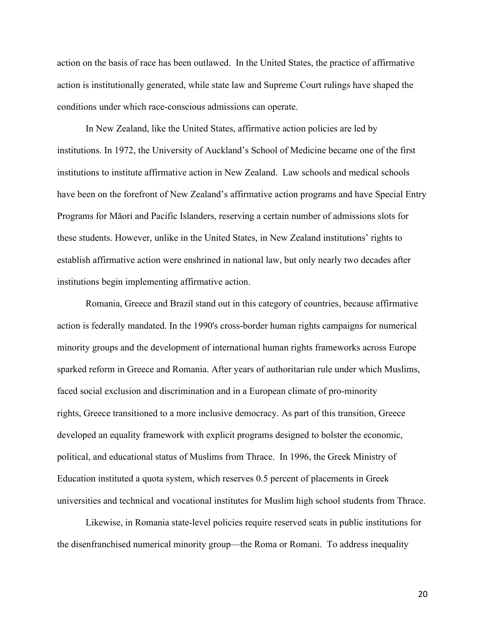action on the basis of race has been outlawed. In the United States, the practice of affirmative action is institutionally generated, while state law and Supreme Court rulings have shaped the conditions under which race-conscious admissions can operate.

In New Zealand, like the United States, affirmative action policies are led by institutions. In 1972, the University of Auckland's School of Medicine became one of the first institutions to institute affirmative action in New Zealand. Law schools and medical schools have been on the forefront of New Zealand's affirmative action programs and have Special Entry Programs for Māori and Pacific Islanders, reserving a certain number of admissions slots for these students. However, unlike in the United States, in New Zealand institutions' rights to establish affirmative action were enshrined in national law, but only nearly two decades after institutions begin implementing affirmative action.

Romania, Greece and Brazil stand out in this category of countries, because affirmative action is federally mandated. In the 1990's cross-border human rights campaigns for numerical minority groups and the development of international human rights frameworks across Europe sparked reform in Greece and Romania. After years of authoritarian rule under which Muslims, faced social exclusion and discrimination and in a European climate of pro-minority rights, Greece transitioned to a more inclusive democracy. As part of this transition, Greece developed an equality framework with explicit programs designed to bolster the economic, political, and educational status of Muslims from Thrace. In 1996, the Greek Ministry of Education instituted a quota system, which reserves 0.5 percent of placements in Greek universities and technical and vocational institutes for Muslim high school students from Thrace.

Likewise, in Romania state-level policies require reserved seats in public institutions for the disenfranchised numerical minority group—the Roma or Romani. To address inequality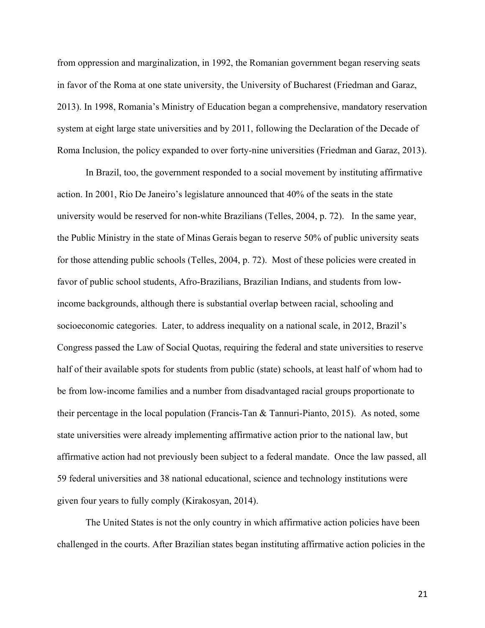from oppression and marginalization, in 1992, the Romanian government began reserving seats in favor of the Roma at one state university, the University of Bucharest (Friedman and Garaz, 2013). In 1998, Romania's Ministry of Education began a comprehensive, mandatory reservation system at eight large state universities and by 2011, following the Declaration of the Decade of Roma Inclusion, the policy expanded to over forty-nine universities (Friedman and Garaz, 2013).

In Brazil, too, the government responded to a social movement by instituting affirmative action. In 2001, Rio De Janeiro's legislature announced that 40% of the seats in the state university would be reserved for non-white Brazilians (Telles, 2004, p. 72). In the same year, the Public Ministry in the state of Minas Gerais began to reserve 50% of public university seats for those attending public schools (Telles, 2004, p. 72). Most of these policies were created in favor of public school students, Afro-Brazilians, Brazilian Indians, and students from lowincome backgrounds, although there is substantial overlap between racial, schooling and socioeconomic categories. Later, to address inequality on a national scale, in 2012, Brazil's Congress passed the Law of Social Quotas, requiring the federal and state universities to reserve half of their available spots for students from public (state) schools, at least half of whom had to be from low-income families and a number from disadvantaged racial groups proportionate to their percentage in the local population (Francis-Tan & Tannuri-Pianto, 2015). As noted, some state universities were already implementing affirmative action prior to the national law, but affirmative action had not previously been subject to a federal mandate. Once the law passed, all 59 federal universities and 38 national educational, science and technology institutions were given four years to fully comply (Kirakosyan, 2014).

The United States is not the only country in which affirmative action policies have been challenged in the courts. After Brazilian states began instituting affirmative action policies in the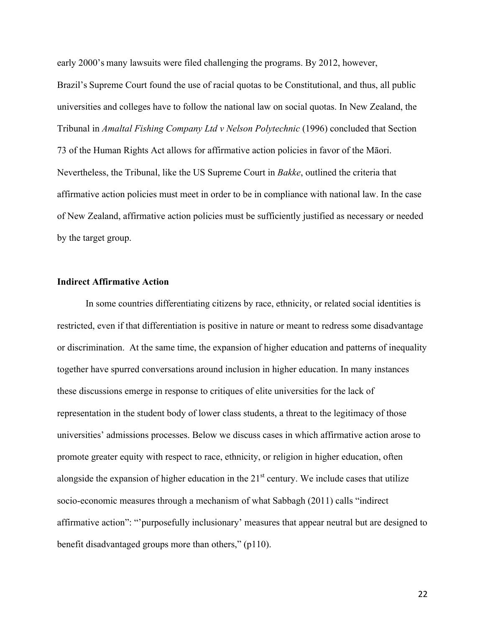early 2000's many lawsuits were filed challenging the programs. By 2012, however,

Brazil's Supreme Court found the use of racial quotas to be Constitutional, and thus, all public universities and colleges have to follow the national law on social quotas. In New Zealand, the Tribunal in *Amaltal Fishing Company Ltd v Nelson Polytechnic* (1996) concluded that Section 73 of the Human Rights Act allows for affirmative action policies in favor of the Māori. Nevertheless, the Tribunal, like the US Supreme Court in *Bakke*, outlined the criteria that affirmative action policies must meet in order to be in compliance with national law. In the case of New Zealand, affirmative action policies must be sufficiently justified as necessary or needed by the target group.

#### **Indirect Affirmative Action**

In some countries differentiating citizens by race, ethnicity, or related social identities is restricted, even if that differentiation is positive in nature or meant to redress some disadvantage or discrimination. At the same time, the expansion of higher education and patterns of inequality together have spurred conversations around inclusion in higher education. In many instances these discussions emerge in response to critiques of elite universities for the lack of representation in the student body of lower class students, a threat to the legitimacy of those universities' admissions processes. Below we discuss cases in which affirmative action arose to promote greater equity with respect to race, ethnicity, or religion in higher education, often alongside the expansion of higher education in the  $21<sup>st</sup>$  century. We include cases that utilize socio-economic measures through a mechanism of what Sabbagh (2011) calls "indirect affirmative action": "'purposefully inclusionary' measures that appear neutral but are designed to benefit disadvantaged groups more than others," (p110).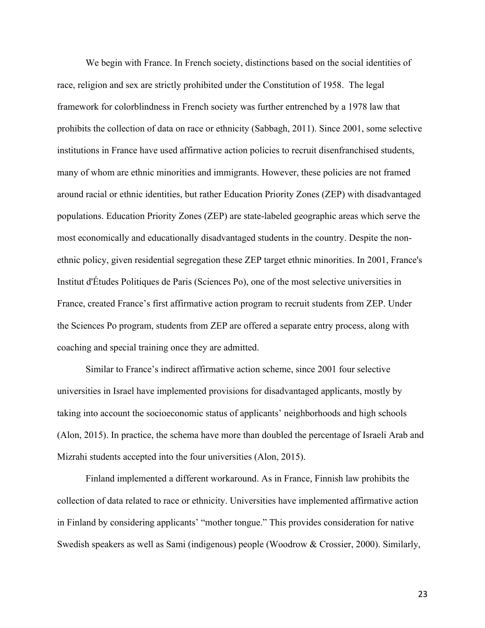We begin with France. In French society, distinctions based on the social identities of race, religion and sex are strictly prohibited under the Constitution of 1958. The legal framework for colorblindness in French society was further entrenched by a 1978 law that prohibits the collection of data on race or ethnicity (Sabbagh, 2011). Since 2001, some selective institutions in France have used affirmative action policies to recruit disenfranchised students, many of whom are ethnic minorities and immigrants. However, these policies are not framed around racial or ethnic identities, but rather Education Priority Zones (ZEP) with disadvantaged populations. Education Priority Zones (ZEP) are state-labeled geographic areas which serve the most economically and educationally disadvantaged students in the country. Despite the nonethnic policy, given residential segregation these ZEP target ethnic minorities. In 2001, France's Institut d'Études Politiques de Paris (Sciences Po), one of the most selective universities in France, created France's first affirmative action program to recruit students from ZEP. Under the Sciences Po program, students from ZEP are offered a separate entry process, along with coaching and special training once they are admitted.

Similar to France's indirect affirmative action scheme, since 2001 four selective universities in Israel have implemented provisions for disadvantaged applicants, mostly by taking into account the socioeconomic status of applicants' neighborhoods and high schools (Alon, 2015). In practice, the schema have more than doubled the percentage of Israeli Arab and Mizrahi students accepted into the four universities (Alon, 2015).

Finland implemented a different workaround. As in France, Finnish law prohibits the collection of data related to race or ethnicity. Universities have implemented affirmative action in Finland by considering applicants' "mother tongue." This provides consideration for native Swedish speakers as well as Sami (indigenous) people (Woodrow & Crossier, 2000). Similarly,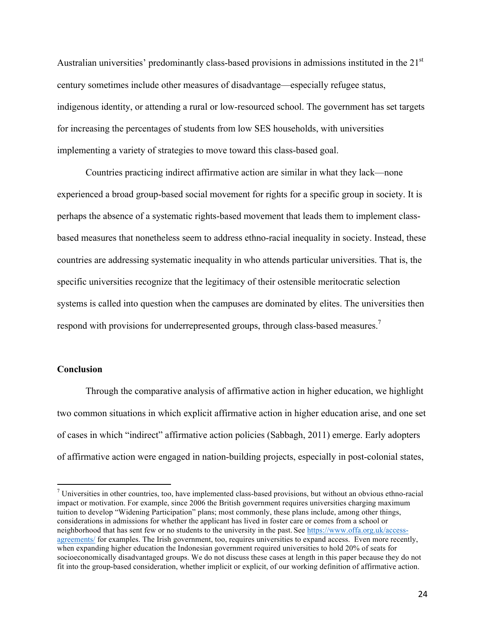Australian universities' predominantly class-based provisions in admissions instituted in the 21<sup>st</sup> century sometimes include other measures of disadvantage—especially refugee status, indigenous identity, or attending a rural or low-resourced school. The government has set targets for increasing the percentages of students from low SES households, with universities implementing a variety of strategies to move toward this class-based goal.

Countries practicing indirect affirmative action are similar in what they lack—none experienced a broad group-based social movement for rights for a specific group in society. It is perhaps the absence of a systematic rights-based movement that leads them to implement classbased measures that nonetheless seem to address ethno-racial inequality in society. Instead, these countries are addressing systematic inequality in who attends particular universities. That is, the specific universities recognize that the legitimacy of their ostensible meritocratic selection systems is called into question when the campuses are dominated by elites. The universities then respond with provisions for underrepresented groups, through class-based measures.<sup>7</sup>

#### **Conclusion**

Through the comparative analysis of affirmative action in higher education, we highlight two common situations in which explicit affirmative action in higher education arise, and one set of cases in which "indirect" affirmative action policies (Sabbagh, 2011) emerge. Early adopters of affirmative action were engaged in nation-building projects, especially in post-colonial states,

 $<sup>7</sup>$  Universities in other countries, too, have implemented class-based provisions, but without an obvious ethno-racial</sup> impact or motivation. For example, since 2006 the British government requires universities charging maximum tuition to develop "Widening Participation" plans; most commonly, these plans include, among other things, considerations in admissions for whether the applicant has lived in foster care or comes from a school or neighborhood that has sent few or no students to the university in the past. See https://www.offa.org.uk/accessagreements/ for examples. The Irish government, too, requires universities to expand access. Even more recently, when expanding higher education the Indonesian government required universities to hold 20% of seats for socioeconomically disadvantaged groups. We do not discuss these cases at length in this paper because they do not fit into the group-based consideration, whether implicit or explicit, of our working definition of affirmative action.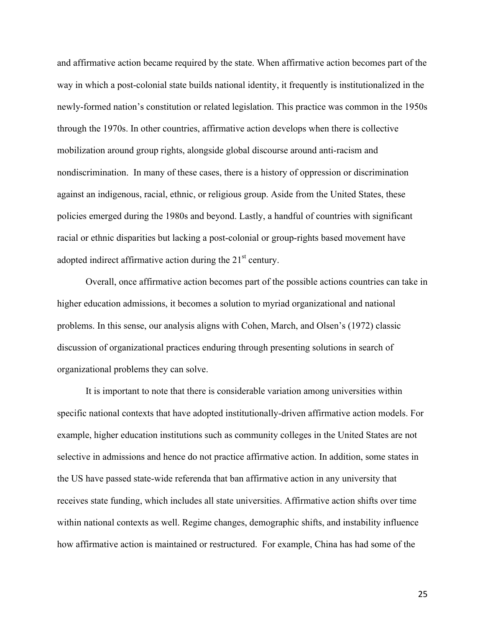and affirmative action became required by the state. When affirmative action becomes part of the way in which a post-colonial state builds national identity, it frequently is institutionalized in the newly-formed nation's constitution or related legislation. This practice was common in the 1950s through the 1970s. In other countries, affirmative action develops when there is collective mobilization around group rights, alongside global discourse around anti-racism and nondiscrimination. In many of these cases, there is a history of oppression or discrimination against an indigenous, racial, ethnic, or religious group. Aside from the United States, these policies emerged during the 1980s and beyond. Lastly, a handful of countries with significant racial or ethnic disparities but lacking a post-colonial or group-rights based movement have adopted indirect affirmative action during the  $21<sup>st</sup>$  century.

Overall, once affirmative action becomes part of the possible actions countries can take in higher education admissions, it becomes a solution to myriad organizational and national problems. In this sense, our analysis aligns with Cohen, March, and Olsen's (1972) classic discussion of organizational practices enduring through presenting solutions in search of organizational problems they can solve.

It is important to note that there is considerable variation among universities within specific national contexts that have adopted institutionally-driven affirmative action models. For example, higher education institutions such as community colleges in the United States are not selective in admissions and hence do not practice affirmative action. In addition, some states in the US have passed state-wide referenda that ban affirmative action in any university that receives state funding, which includes all state universities. Affirmative action shifts over time within national contexts as well. Regime changes, demographic shifts, and instability influence how affirmative action is maintained or restructured. For example, China has had some of the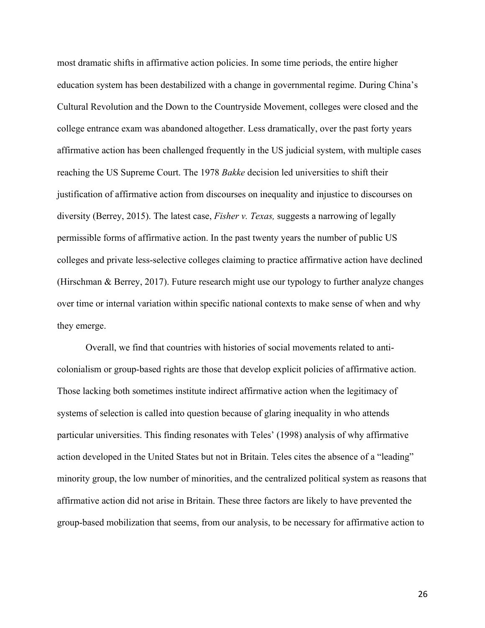most dramatic shifts in affirmative action policies. In some time periods, the entire higher education system has been destabilized with a change in governmental regime. During China's Cultural Revolution and the Down to the Countryside Movement, colleges were closed and the college entrance exam was abandoned altogether. Less dramatically, over the past forty years affirmative action has been challenged frequently in the US judicial system, with multiple cases reaching the US Supreme Court. The 1978 *Bakke* decision led universities to shift their justification of affirmative action from discourses on inequality and injustice to discourses on diversity (Berrey, 2015). The latest case, *Fisher v. Texas,* suggests a narrowing of legally permissible forms of affirmative action. In the past twenty years the number of public US colleges and private less-selective colleges claiming to practice affirmative action have declined (Hirschman & Berrey, 2017). Future research might use our typology to further analyze changes over time or internal variation within specific national contexts to make sense of when and why they emerge.

Overall, we find that countries with histories of social movements related to anticolonialism or group-based rights are those that develop explicit policies of affirmative action. Those lacking both sometimes institute indirect affirmative action when the legitimacy of systems of selection is called into question because of glaring inequality in who attends particular universities. This finding resonates with Teles' (1998) analysis of why affirmative action developed in the United States but not in Britain. Teles cites the absence of a "leading" minority group, the low number of minorities, and the centralized political system as reasons that affirmative action did not arise in Britain. These three factors are likely to have prevented the group-based mobilization that seems, from our analysis, to be necessary for affirmative action to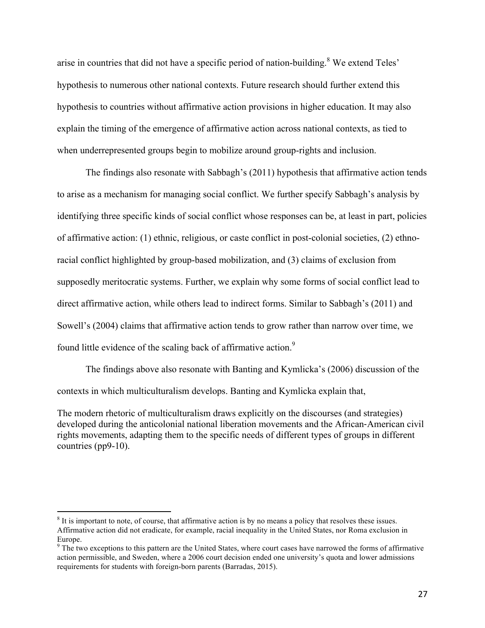arise in countries that did not have a specific period of nation-building.<sup>8</sup> We extend Teles' hypothesis to numerous other national contexts. Future research should further extend this hypothesis to countries without affirmative action provisions in higher education. It may also explain the timing of the emergence of affirmative action across national contexts, as tied to when underrepresented groups begin to mobilize around group-rights and inclusion.

The findings also resonate with Sabbagh's (2011) hypothesis that affirmative action tends to arise as a mechanism for managing social conflict. We further specify Sabbagh's analysis by identifying three specific kinds of social conflict whose responses can be, at least in part, policies of affirmative action: (1) ethnic, religious, or caste conflict in post-colonial societies, (2) ethnoracial conflict highlighted by group-based mobilization, and (3) claims of exclusion from supposedly meritocratic systems. Further, we explain why some forms of social conflict lead to direct affirmative action, while others lead to indirect forms. Similar to Sabbagh's (2011) and Sowell's (2004) claims that affirmative action tends to grow rather than narrow over time, we found little evidence of the scaling back of affirmative action.<sup>9</sup>

The findings above also resonate with Banting and Kymlicka's (2006) discussion of the contexts in which multiculturalism develops. Banting and Kymlicka explain that,

The modern rhetoric of multiculturalism draws explicitly on the discourses (and strategies) developed during the anticolonial national liberation movements and the African-American civil rights movements, adapting them to the specific needs of different types of groups in different countries (pp9-10).

 $8$  It is important to note, of course, that affirmative action is by no means a policy that resolves these issues. Affirmative action did not eradicate, for example, racial inequality in the United States, nor Roma exclusion in Europe.

 $9$  The two exceptions to this pattern are the United States, where court cases have narrowed the forms of affirmative action permissible, and Sweden, where a 2006 court decision ended one university's quota and lower admissions requirements for students with foreign-born parents (Barradas, 2015).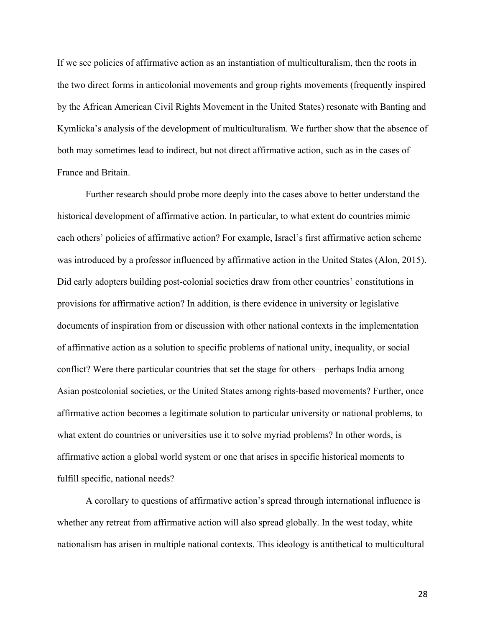If we see policies of affirmative action as an instantiation of multiculturalism, then the roots in the two direct forms in anticolonial movements and group rights movements (frequently inspired by the African American Civil Rights Movement in the United States) resonate with Banting and Kymlicka's analysis of the development of multiculturalism. We further show that the absence of both may sometimes lead to indirect, but not direct affirmative action, such as in the cases of France and Britain.

Further research should probe more deeply into the cases above to better understand the historical development of affirmative action. In particular, to what extent do countries mimic each others' policies of affirmative action? For example, Israel's first affirmative action scheme was introduced by a professor influenced by affirmative action in the United States (Alon, 2015). Did early adopters building post-colonial societies draw from other countries' constitutions in provisions for affirmative action? In addition, is there evidence in university or legislative documents of inspiration from or discussion with other national contexts in the implementation of affirmative action as a solution to specific problems of national unity, inequality, or social conflict? Were there particular countries that set the stage for others—perhaps India among Asian postcolonial societies, or the United States among rights-based movements? Further, once affirmative action becomes a legitimate solution to particular university or national problems, to what extent do countries or universities use it to solve myriad problems? In other words, is affirmative action a global world system or one that arises in specific historical moments to fulfill specific, national needs?

A corollary to questions of affirmative action's spread through international influence is whether any retreat from affirmative action will also spread globally. In the west today, white nationalism has arisen in multiple national contexts. This ideology is antithetical to multicultural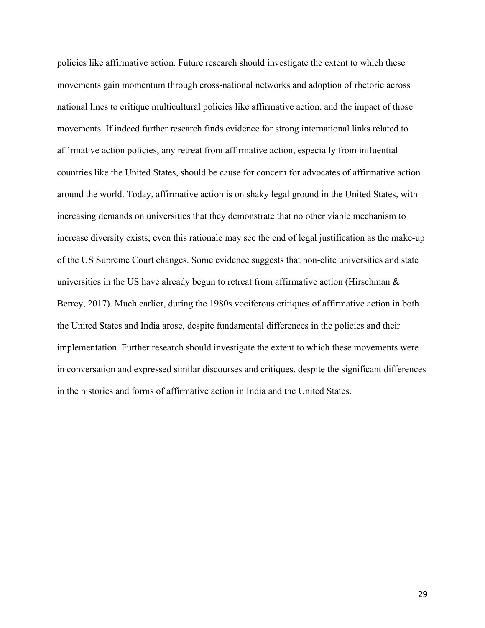policies like affirmative action. Future research should investigate the extent to which these movements gain momentum through cross-national networks and adoption of rhetoric across national lines to critique multicultural policies like affirmative action, and the impact of those movements. If indeed further research finds evidence for strong international links related to affirmative action policies, any retreat from affirmative action, especially from influential countries like the United States, should be cause for concern for advocates of affirmative action around the world. Today, affirmative action is on shaky legal ground in the United States, with increasing demands on universities that they demonstrate that no other viable mechanism to increase diversity exists; even this rationale may see the end of legal justification as the make-up of the US Supreme Court changes. Some evidence suggests that non-elite universities and state universities in the US have already begun to retreat from affirmative action (Hirschman & Berrey, 2017). Much earlier, during the 1980s vociferous critiques of affirmative action in both the United States and India arose, despite fundamental differences in the policies and their implementation. Further research should investigate the extent to which these movements were in conversation and expressed similar discourses and critiques, despite the significant differences in the histories and forms of affirmative action in India and the United States.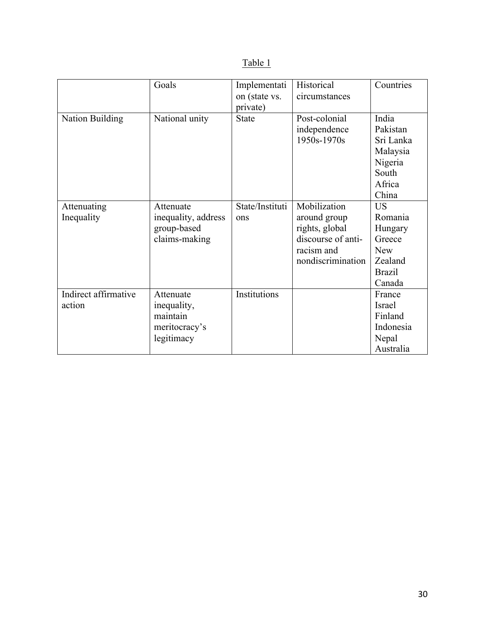| ۰. |  |
|----|--|
|----|--|

|                      | Goals               | Implementati    | Historical         | Countries     |
|----------------------|---------------------|-----------------|--------------------|---------------|
|                      |                     | on (state vs.   | circumstances      |               |
|                      |                     | private)        |                    |               |
| Nation Building      | National unity      | <b>State</b>    | Post-colonial      | India         |
|                      |                     |                 | independence       | Pakistan      |
|                      |                     |                 | 1950s-1970s        | Sri Lanka     |
|                      |                     |                 |                    | Malaysia      |
|                      |                     |                 |                    | Nigeria       |
|                      |                     |                 |                    | South         |
|                      |                     |                 |                    | Africa        |
|                      |                     |                 |                    | China         |
| Attenuating          | Attenuate           | State/Instituti | Mobilization       | <b>US</b>     |
| Inequality           | inequality, address | ons             | around group       | Romania       |
|                      | group-based         |                 | rights, global     | Hungary       |
|                      | claims-making       |                 | discourse of anti- | Greece        |
|                      |                     |                 | racism and         | <b>New</b>    |
|                      |                     |                 | nondiscrimination  | Zealand       |
|                      |                     |                 |                    | <b>Brazil</b> |
|                      |                     |                 |                    | Canada        |
| Indirect affirmative | Attenuate           | Institutions    |                    | France        |
| action               | inequality,         |                 |                    | Israel        |
|                      | maintain            |                 |                    | Finland       |
|                      | meritocracy's       |                 |                    | Indonesia     |
|                      | legitimacy          |                 |                    | Nepal         |
|                      |                     |                 |                    | Australia     |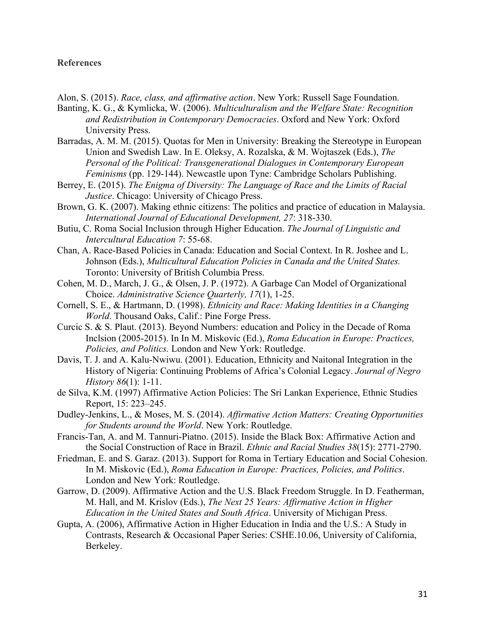#### **References**

Alon, S. (2015). *Race, class, and affirmative action*. New York: Russell Sage Foundation.

Banting, K. G., & Kymlicka, W. (2006). *Multiculturalism and the Welfare State: Recognition and Redistribution in Contemporary Democracies*. Oxford and New York: Oxford University Press.

- Barradas, A. M. M. (2015). Quotas for Men in University: Breaking the Stereotype in European Union and Swedish Law. In E. Oleksy, A. Rozalska, & M. Wojtaszek (Eds.), *The Personal of the Political: Transgenerational Dialogues in Contemporary European Feminisms* (pp. 129-144). Newcastle upon Tyne: Cambridge Scholars Publishing.
- Berrey, E. (2015). *The Enigma of Diversity: The Language of Race and the Limits of Racial Justice*. Chicago: University of Chicago Press.
- Brown, G. K. (2007). Making ethnic citizens: The politics and practice of education in Malaysia. *International Journal of Educational Development, 27*: 318-330.
- Butiu, C. Roma Social Inclusion through Higher Education. *The Journal of Linguistic and Intercultural Education 7*: 55-68.
- Chan, A. Race-Based Policies in Canada: Education and Social Context. In R. Joshee and L. Johnson (Eds.), *Multicultural Education Policies in Canada and the United States.*  Toronto: University of British Columbia Press.
- Cohen, M. D., March, J. G., & Olsen, J. P. (1972). A Garbage Can Model of Organizational Choice. *Administrative Science Quarterly, 17*(1), 1-25.
- Cornell, S. E., & Hartmann, D. (1998). *Ethnicity and Race: Making Identities in a Changing World*. Thousand Oaks, Calif.: Pine Forge Press.
- Curcic S. & S. Plaut. (2013). Beyond Numbers: education and Policy in the Decade of Roma Inclsion (2005-2015). In In M. Miskovic (Ed.), *Roma Education in Europe: Practices, Policies, and Politics.* London and New York: Routledge.
- Davis, T. J. and A. Kalu-Nwiwu. (2001). Education, Ethnicity and Naitonal Integration in the History of Nigeria: Continuing Problems of Africa's Colonial Legacy. *Journal of Negro History 86*(1): 1-11.
- de Silva, K.M. (1997) Affirmative Action Policies: The Sri Lankan Experience, Ethnic Studies Report, 15: 223–245.
- Dudley-Jenkins, L., & Moses, M. S. (2014). *Affirmative Action Matters: Creating Opportunities for Students around the World*. New York: Routledge.
- Francis-Tan, A. and M. Tannuri-Piatno. (2015). Inside the Black Box: Affirmative Action and the Social Construction of Race in Brazil. *Ethnic and Racial Studies 38*(15): 2771-2790.
- Friedman, E. and S. Garaz. (2013). Support for Roma in Tertiary Education and Social Cohesion. In M. Miskovic (Ed.), *Roma Education in Europe: Practices, Policies, and Politics*. London and New York: Routledge.
- Garrow, D. (2009). Affirmative Action and the U.S. Black Freedom Struggle. In D. Featherman, M. Hall, and M. Krislov (Eds.), *The Next 25 Years: Affirmative Action in Higher Education in the United States and South Africa*. University of Michigan Press.
- Gupta, A. (2006), Affirmative Action in Higher Education in India and the U.S.: A Study in Contrasts, Research & Occasional Paper Series: CSHE.10.06, University of California, Berkeley.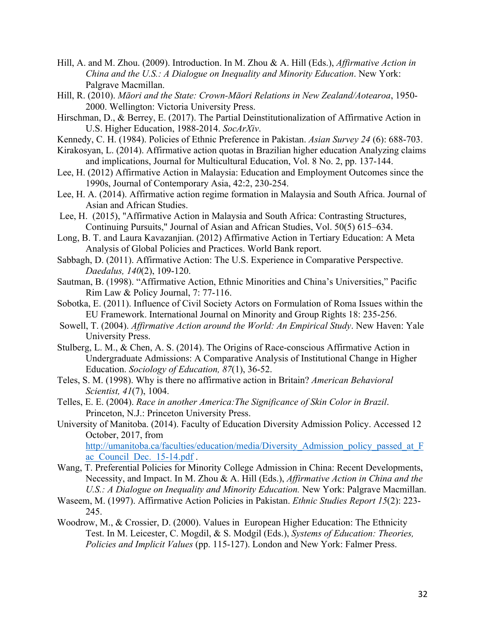- Hill, A. and M. Zhou. (2009). Introduction. In M. Zhou & A. Hill (Eds.), *Affirmative Action in China and the U.S.: A Dialogue on Inequality and Minority Education*. New York: Palgrave Macmillan.
- Hill, R. (2010). *Māori and the State: Crown-Māori Relations in New Zealand/Aotearoa*, 1950- 2000. Wellington: Victoria University Press.
- Hirschman, D., & Berrey, E. (2017). The Partial Deinstitutionalization of Affirmative Action in U.S. Higher Education, 1988-2014. *SocArXiv*.
- Kennedy, C. H. (1984). Policies of Ethnic Preference in Pakistan. *Asian Survey 24* (6): 688-703.
- Kirakosyan, L. (2014). Affirmative action quotas in Brazilian higher education Analyzing claims and implications, Journal for Multicultural Education, Vol. 8 No. 2, pp. 137-144.
- Lee, H. (2012) Affirmative Action in Malaysia: Education and Employment Outcomes since the 1990s, Journal of Contemporary Asia, 42:2, 230-254.
- Lee, H. A. (2014). Affirmative action regime formation in Malaysia and South Africa. Journal of Asian and African Studies.
- Lee, H. (2015), "Affirmative Action in Malaysia and South Africa: Contrasting Structures, Continuing Pursuits," Journal of Asian and African Studies, Vol. 50(5) 615–634.
- Long, B. T. and Laura Kavazanjian. (2012) Affirmative Action in Tertiary Education: A Meta Analysis of Global Policies and Practices. World Bank report.
- Sabbagh, D. (2011). Affirmative Action: The U.S. Experience in Comparative Perspective. *Daedalus, 140*(2), 109-120.
- Sautman, B. (1998). "Affirmative Action, Ethnic Minorities and China's Universities," Pacific Rim Law & Policy Journal, 7: 77-116.
- Sobotka, E. (2011). Influence of Civil Society Actors on Formulation of Roma Issues within the EU Framework. International Journal on Minority and Group Rights 18: 235-256.
- Sowell, T. (2004). *Affirmative Action around the World: An Empirical Study*. New Haven: Yale University Press.
- Stulberg, L. M., & Chen, A. S. (2014). The Origins of Race-conscious Affirmative Action in Undergraduate Admissions: A Comparative Analysis of Institutional Change in Higher Education. *Sociology of Education, 87*(1), 36-52.
- Teles, S. M. (1998). Why is there no affirmative action in Britain? *American Behavioral Scientist, 41*(7), 1004.
- Telles, E. E. (2004). *Race in another America:The Significance of Skin Color in Brazil*. Princeton, N.J.: Princeton University Press.
- University of Manitoba. (2014). Faculty of Education Diversity Admission Policy. Accessed 12 October, 2017, from http://umanitoba.ca/faculties/education/media/Diversity\_Admission\_policy\_passed\_at\_F ac Council Dec. 15-14.pdf .
- Wang, T. Preferential Policies for Minority College Admission in China: Recent Developments, Necessity, and Impact. In M. Zhou & A. Hill (Eds.), *Affirmative Action in China and the U.S.: A Dialogue on Inequality and Minority Education.* New York: Palgrave Macmillan.
- Waseem, M. (1997). Affirmative Action Policies in Pakistan. *Ethnic Studies Report 15*(2): 223- 245.
- Woodrow, M., & Crossier, D. (2000). Values in European Higher Education: The Ethnicity Test. In M. Leicester, C. Mogdil, & S. Modgil (Eds.), *Systems of Education: Theories, Policies and Implicit Values* (pp. 115-127). London and New York: Falmer Press.